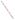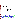

# **Environmental Technology Verification Program**  Advanced Monitoring **Systems Center**

Generic Verification Protocol for Optical Open-Path **Monitors** 

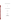# **GENERIC VERIFICATION PROTOCOL**

**FOR** 

# **OPTICAL OPEN-PATH MONITORS**

**August 2002** 

**Prepared by** 

**Battelle 505 King Avenue Columbus, OH 43201-2693**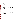# **TABLE OF CONTENTS**

| 1.               | 1.1.<br>1.2.                                                                          |  |
|------------------|---------------------------------------------------------------------------------------|--|
| 2.               |                                                                                       |  |
| 3.               | 3.1.<br>3.2.1<br>3.2.2<br>3.2.3                                                       |  |
| $\overline{4}$ . |                                                                                       |  |
| 5.               | 5.2.<br>5.3.<br>5.3.1<br>5.3.2<br>5.3.3<br>5.3.4<br>5.3.5<br>5.3.6                    |  |
|                  | 5.4.1<br>5.4.2<br>5.4.3<br>5.4.4<br>5.4.5<br>5.4.6<br>5.5.<br>5.5.1<br>5.5.2<br>5.5.3 |  |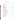# **TABLE OF CONTENTS (continued)**

|    |                                                      | 5.5.4<br>5.5.5<br>5.5.6                                                       |  |
|----|------------------------------------------------------|-------------------------------------------------------------------------------|--|
| 6. |                                                      |                                                                               |  |
| 7. | 7.1.<br>7.2.<br>7.3.<br>7.4.<br>7.5.<br>7.6.<br>7.7. |                                                                               |  |
| 8. | 8.3.<br>8.4.                                         | 8.1.1<br>8.1.2<br>8.1.3<br>8.1.4<br>8.1.5<br>8.1.6<br>8.2.1<br>8.2.2<br>8.2.3 |  |
| 9. | 9.1.<br>9.2.                                         | 9.2.1<br>9.2.2<br>9.2.3<br>9.2.4<br>9.2.5                                     |  |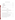# **TABLE OF CONTENTS (continued)**

Page

| ב<br>ד                   |  |
|--------------------------|--|
|                          |  |
|                          |  |
|                          |  |
|                          |  |
| ٢                        |  |
|                          |  |
|                          |  |
| ١                        |  |
| i<br>C                   |  |
| D                        |  |
|                          |  |
|                          |  |
|                          |  |
|                          |  |
| I<br>u                   |  |
|                          |  |
|                          |  |
|                          |  |
|                          |  |
|                          |  |
|                          |  |
|                          |  |
| ENG                      |  |
|                          |  |
|                          |  |
| c                        |  |
|                          |  |
|                          |  |
|                          |  |
| Å                        |  |
|                          |  |
|                          |  |
|                          |  |
|                          |  |
| Ì                        |  |
|                          |  |
| $\overline{\phantom{a}}$ |  |
|                          |  |
|                          |  |
|                          |  |
|                          |  |

| 10.             |  |
|-----------------|--|
| 11 <sub>1</sub> |  |
|                 |  |
|                 |  |

# **List of Figures**

# **List of Tables**

| Table 1. Optical Open-Path Monitor Verification Measurement Order for a Single Gas 12 |
|---------------------------------------------------------------------------------------|
|                                                                                       |
| Table 3. Target Gases for Verification Testing of FTIR Open-Path Monitors  14         |
| Table 4. Target Gases for Verification Testing of TDL Open-Path Monitors 19           |
| Table 5. Target Gases for Verification Testing of UV Open-Path Monitors 23            |
|                                                                                       |
|                                                                                       |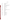# **ACRONYMS**

| <b>AMS</b>      | <b>Advanced Monitoring Systems</b>             |  |  |
|-----------------|------------------------------------------------|--|--|
| CO              | carbon monoxide                                |  |  |
| CO <sub>2</sub> | carbon dioxide                                 |  |  |
| <b>EPA</b>      | United States Environmental Protection Agency  |  |  |
| <b>ETV</b>      | <b>Environmental Technology Verification</b>   |  |  |
| <b>FTIR</b>     | Fourier transform infrared                     |  |  |
| <b>HF</b>       | hydrogen fluoride                              |  |  |
| <b>MDL</b>      | minimum detection limit                        |  |  |
| min.            | minute                                         |  |  |
| <b>ND</b>       | neutral density                                |  |  |
| <b>NDIR</b>     | non-dispersive infrared                        |  |  |
| <b>NIST</b>     | National Institute of Standards and Technology |  |  |
| NO <sub>x</sub> | nitrogen oxides                                |  |  |
| SO <sub>2</sub> | sulfur dioxide                                 |  |  |
| $\mathbf{O}_2$  | oxygen                                         |  |  |
| QA              | quality assurance                              |  |  |
| <b>QMP</b>      | <b>Quality Management Plan</b>                 |  |  |
| <b>RH</b>       | relative humidity                              |  |  |
| <b>RSD</b>      | relative standard deviation                    |  |  |
| <b>TDL</b>      | tunable diode laser                            |  |  |
| <b>TSA</b>      | technical systems audit                        |  |  |
| UV              | ultraviolet                                    |  |  |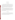## **1 INTRODUCTION**

#### **1.1 Test Description**

This protocol provides generic procedures for implementing a verification test of optical open-path monitors for use in ambient air or fenceline measurements. Verification tests are conducted under the auspices of the U.S. Environmental Protection Agency (EPA) through the Environmental Technology Verification (ETV) program. The purpose of the ETV program is to provide objective and quality-assured performance data on environmental technologies, so that users, developers, regulators, and consultants can make informed decisions about these technologies.

The verification tests are coordinated by Battelle, of Columbus, Ohio, which is EPA's partner in the ETV Advanced Monitoring Systems (AMS) Center. The scope of the AMS Center covers verification of monitoring technologies for contaminants and natural species in air, water, and soil. In performing verification tests, Battelle follows procedures specified in this protocol and complies with the requirements in the "Quality Management Plan for the ETV Advanced Monitoring Systems Pilot" $(QMP)$ .<sup>(1)</sup>

#### **1.2 Test Objective**

The purpose of verification tests of commercially available optical open-path monitors is to evaluate their performance for use at facilities concerned with emissions or ambient levels of volatile organic or inorganic chemicals. Verification tests involve challenging these monitors with known reference gas samples under realistic operating conditions.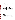#### **1.3 Test Applicability**

This generic protocol is applicable to verification testing of commercial optical open-path monitors capable of real-time monitoring of atmospheric pollutants. These monitors are typically used over greater than 100-meter path lengths and provide information about the concentrations of gases that are present in the air between the light source and the detector. In such applications, these open-path monitors can provide real-time continuous monitoring of air quality and allow early warning of potential non-compliance conditions or emergency release situations. In contrast, grab sample analysis by standard methods is both time-consuming and non-continuous.

# **2 TECHNOLOGY DESCRIPTION**

The monitors verified under this protocol rely upon a radiation source (ultraviolet, visible, or infrared) and a detector used together to identify and quantify the levels of certain chemicals in the atmosphere. These monitors are typically used in a continuous monitoring mode and in many cases, are able to simultaneously monitor several compounds. Although the overall design requirements for the different spectral ranges are significantly different, the basic components of these technologies are similar.

In general, these monitors contain at least the following components:

- Radiation source
- **Optics**
- **Detector**
- Data processing algorithms.

The radiation sources for these technologies belong to one of three distinct groups. The monitors operating in the ultraviolet (UV) region of the spectrum use a continuous or noncontinuous lamp that provides broad-band radiation in the UV and visible regions. The monitors using tunable diode laser (TDL) technology use a laser to provide radiation over a very narrow spectral range in the near infrared. That spectral range can be tuned over a small range with a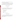single TDL and is selectable over a wider range using multiple TDLs. The Fourier transform infrared (FTIR) monitors use a broadband infrared source.

The optical components of these monitors typically are used to project the radiation from the source, through the atmospheric path to be monitored, and to the detector. The detectors and configurations for these monitors vary according to specific applications. They are typically chosen to maximize signal-to-noise ratio for the spectral region and operating temperature.

## **3 VERIFICATION APPROACH**

#### **3.1 Scope of Test**

The objective of the verification test derived from this generic protocol is to provide quantitative verification of the performance of optical open-path monitors under realistic operational conditions. Specifically, the verification parameters to be verified are

- Minimum detection limit (MDL)
- Concentration linearity
- Source strength linearity
- Accuracy
- **Precision**
- Sensitivity to atmospheric interferences.

#### **3.2 Roles and Responsibilities**

The verification test will be performed by Battelle with the participation of EPA and the vendors whose optical open-path monitors will be verified. The chart in Figure 1 shows the organization of responsibilities for Battelle, the vendor companies, and EPA. Specific responsibilities are detailed below.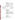

**Figure 1. Organization Chart for Optical Open-Path Monitor Verification Test**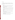## **3.2.1 Battelle**

The Verification Test Coordinator has the overall responsibility for ensuring that the technical, scheduling, and cost goals established for the verification test are met. The Verification Test Coordinator shall

- Prepare a draft test/quality assurance (QA) plan, verification reports, and verification statements
- Revise the draft test/QA plan, verification reports, and verification statements in response to reviewers' comments
- Assemble the requisite equipment and a team of qualified technical staff to conduct the verification test
- Direct the team in performing the verification test in accordance with the test/QA plan
- Coordinate distribution of the final test/QA plan, verification reports, and verification statements
- Ensure that all quality procedures specified in the test/QA plan and in the QMP are followed
- Respond to any issues raised in assessment reports and audits, including instituting corrective action as necessary
- Serve as the primary point of contact for vendor representatives
- Establish a budget for the verification test and monitor staff effort to ensure that the budget is not exceeded
- • Ensure that confidentiality of vendor information is maintained.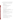The Verification Testing Leader for the AMS Center provides technical guidance and oversees the various stages of the verification test. The Verification Testing Leader shall

- Support the Verification Test Coordinator in preparing the test/QA plan and organizing the test
- Review the draft test/QA plan
- Review the draft verification reports and verification statements
- • Ensure that vendor confidentiality is maintained.

The Battelle AMS Center Manager shall

- Review the draft test/QA plan
- Review the draft verification reports and verification statements
- Ensure that necessary Battelle resources, including staff and facilities, are committed to the verification test
- Ensure that vendor confidentiality is maintained
- Support the Verification Test Coordinator in responding to any issues raised in assessment reports and audits
- Maintain communication with EPA's AMS Center and ETV Quality Managers.

The Battelle Quality Manager for the verification test shall

- Review the draft test/QA plan
- Conduct a technical systems audit (TSA) once during the verification test
- Review performance evaluation audit results as specified in the test/QA plan
- Audit at least 10% of the verification data
- Prepare and distribute an assessment report for each audit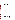- • Verify implementation of any necessary corrective action
- Issue a stop work order if self-audits indicate that data quality is being compromised; notify the Battelle AMS Center Manager if a stop work order is issued
- Provide a summary of the audit activities and results for the verification reports
- Review the draft verification reports and statements
- Have overall responsibility for ensuring that the test/QA plan and AMS Center QMP is followed
- Ensure that Battelle management is informed if persistent quality problems are not corrected
- Inteface with the EPA Quality Manager.

## **3.2.2 Vendors**

Vendor representatives shall

- Review the draft test/QA plan and provide comments and recommendations
- Approve the revised test/QA plan
- Provide off-the-shelf models of the optical open-path monitors to be verified for the duration of the verification test
- Host verification testing of their monitors at their respective facilities or send the monitors and personnel to Battelle to conduct the test
- Install the test equipment and open-path monitors in the test facilities and ensure proper operation of the open-path monitors before and during the test
- Perform on-site maintenance as necessary if a monitor fails any time during the test
- Review and comment upon their respective draft verification reports and statements
- Provide measurement results from the verification test to Battelle in a readily accessible and previously agreed upon format
- Provide and operate the open-path monitors during testing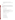US EPA ARCHIVE DOCUMENT

- Provide sample gas cells appropriate for the monitors being tested
- If the test is performed at Battelle, remove and ship the monitors from Battelle upon completion of test.

# **3.2.3 EPA**

EPA's responsibilities in the AMS Center are based on the requirements stated in the "Environmental Technology Verification Program Quality and Management Plan for the Pilot Period  $(1995-2000)^{1/2}$  or the most current version of this document. The roles of the specific EPA staff are as follows:

# EPA's ETV Quality Manager shall

- Review the draft test/QA plan
- Perform, at his/her option, one external TSA during the verification test
- Notify the Battelle AMS Center Manager to facilitate a stop work order if an external audit indicates that data quality is being compromised
- Prepare and distribute an assessment report summarizing the results of an external audit, if performed
- Review draft verification reports and statements.

# EPA's AMS Center Manager shall

- Review the draft test/QA plan
- Approve the final test/ $QA$  plan
- • Review the draft verification reports
- Approve the final verification reports
- Review the draft verification statements.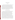## **4 EXPERIMENTAL DESIGN**

#### **4.1 Overview**

The verification test derived from this protocol is designed to challenge the monitors being verified in a manner similar to that which would be experienced in operation in the field. Reproducing many of the actual conditions and problems encountered in the field is beyond the scope of this project; however, a verification test should establish benchmarks that provide quantitative data on specific performance parameters. The basic theory used throughout a test involves challenging the monitors using an optically transparent gas cell that is filled with known concentrations of a target gas. A gas cell is inserted into the optical path of the monitor, thereby simulating a condition where the target gas would be present in the ambient air. The gas cell is used to challenge the monitor in a controlled and uniform manner.

#### **4.2 General Experimental Approach**

The verification test derived from this protocol is intended to be applicable to many types of open-path monitors. As such, the general approach is deliberately broad, with specific protocols for a technology type specified in Section 5, Test Procedures. In general, the experimental approach employed assumes that the monitor operates by sending a beam of radiation from a source, through the atmosphere, and to a detector. Then, measuring the absorption of the light by the target gas in the atmosphere, the monitor is able to identify and quantify the target gas or gases. The same basic technique is used to verify a variety of technology types. Each monitor shall be challenged with several target gases at known concentrations, and the measurement result shall be compared to the known concentration of the target gas. Since open-path monitors are often able to measure many different types of gases, it is not feasible to test all potential target gases. As a result, in this protocol only a few target gases have been suggested. For each target gas, the monitor is set up as it would be if it were operating in the field, with the exception that an optically transparent gas cell is placed in the light beam's path if the monitor does not already have a built-in gas reference cell. A known concentration of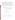the target gas is then introduced into the gas cell, and the monitor makes a measurement. Figure 2 is a schematic of a typical setup for the test. The optical open-path monitor and the gas cell are provided by the vendor. The gas dilution system is provided by Battelle. This system consists of National Institute of Standards and Technology-(NIST-) traceable, commercially certified, standard gases, a calibrated gas diluter, and a supply of certified high-purity dilution gas. All of the test equipment used to evaluate the monitors is provided by Battelle to ensure that the testing is conducted in a repeatable manner regardless of the test location. When testing is performed at a site other than Battelle, all appropriate equipment shall be transported to the test site.



**Figure 2. Schematic Showing Functional System and Setup for Verification Tests**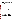The test procedures involve providing a range of known concentrations of various target gases to each monitor. Measurements are made with different path lengths, integration times, source intensities, and numbers of replicate measurements to assess the verification parameters listed in Section 3.1. The test procedures are nested, in that each measurement is used to evaluate more than one verification parameter. To the extent feasible with so diverse a group of technologies, verification test procedures rely on established procedures, such as EPA Method TO-16.<sup>(3)</sup> This method was developed to provide guidelines for gathering and analyzing data using an FTIR.

## **5 TEST PROCEDURES**

#### **5.1 General Procedural Description**

The procedures to be used in the verification test are detailed in this section. The test procedures section is divided into three subsections—FTIR, TDL, and UV—each outlining the specific test procedures for a particular technology type.

The procedures detailed in this section can be carried out for many target gases. In an effort to be as efficient as possible with both time and materials, a specific order of measurements has been established that allows many of the verification parameters to be determined in as short a period as possible. Table 1 shows an efficient measurement order and the verification parameters associated with each measurement. The "Activity #" column provides a reference number for each activity during the test. This allows for easy reference later in the test/QA plan. The "Meas. #" column shows the number of times spectra are recorded. "Ref. Cell Conc." describes the contents of the reference gas cell during the data acquisition. In these measurements, the content of the gas cell is either "N2" (nitrogen dilution gas) or a known concentration of the target gas "c1" through "c4." Concentrations shown as c1, c2, etc. represent the target gas concentrations specified in Table 3 in this section for each technology type. The "Activity" column explains the activity taking place: collecting spectra, changing gases, or adjusting the path length. Several measurements are made (Meas. #3 through #5 and #10 through #12) using an inserted neutral density (ND) filter that allows the source strength (i.e., light intensity) to be varied in a controlled and repeatable manner. The "# of Measurements"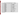| <b>Activity</b>         | Meas.                   | Ref. Cell          |                                     | # of                | <b>Integration</b>      | <b>Path Length</b> | <b>Verification Parameter</b>                             |
|-------------------------|-------------------------|--------------------|-------------------------------------|---------------------|-------------------------|--------------------|-----------------------------------------------------------|
| #                       | #                       | Conc. <sup>a</sup> | <b>Activity</b>                     | <b>Measurements</b> | Time (min)              | (m)                | <b>Calculated</b>                                         |
| $\mathbf{1}$            |                         | N,                 | Change gas & stabilize              |                     |                         | short              |                                                           |
| $\overline{2}$          | 1                       | N,                 | <b>Collect spectra</b>              | 25                  | 1                       | short              | <b>Accuracy., Concentration linearity, MDL</b>            |
| $\overline{\mathbf{3}}$ |                         | c1                 | Change gas & stabilize              |                     |                         | short              |                                                           |
| $\overline{4}$          | $\overline{2}$          | c1                 | <b>Collect spectra</b>              | 5                   |                         | short              | <b>Acc., Concentration linearity</b>                      |
| 5                       | $\overline{\mathbf{3}}$ | c1                 | Collect spectra - ND 1 <sup>b</sup> | $\overline{5}$      | $\overline{1}$          | short              | <b>Source strength linearity</b>                          |
| 6                       | 4                       | c1                 | Collect spectra - ND $2b$           | $\overline{5}$      | $\overline{\mathbf{1}}$ | short              | <b>Source strength linearity</b>                          |
| $\overline{7}$          | 5                       | c1                 | Collect spectra - ND $3b$           | 5                   | 1                       | short              | <b>Source strength linearity</b>                          |
| 8                       |                         | N,                 | Change gas & stabilize              |                     |                         | short              |                                                           |
| 9                       | 6                       | N,                 | <b>Collect spectra</b>              | $\overline{5}$      |                         | short              | <b>Acc., Concentration linearity</b>                      |
| <b>10</b>               |                         | c2                 | Change gas & stabilize              |                     |                         | short              |                                                           |
| $\overline{11}$         | 7                       | c2                 | <b>Collect spectra</b>              | $\overline{5}$      | $\mathbf{1}$            | short              | Acc., Concentration linearity, Interference effect (Int.) |
| $\overline{12}$         |                         | N,                 | Change gas & stabilize              |                     |                         | short              |                                                           |
| $\overline{13}$         | 8                       | N,                 | <b>Collect spectra</b>              | 5                   | 1                       | short              | <b>Acc., Concentration linearity</b>                      |
| 14                      |                         | c3                 | Change gas & stabilize              |                     |                         | short              |                                                           |
| $\overline{15}$         | $\overline{9}$          | c3                 | <b>Collect spectra</b>              | 5                   | 1                       | short              | <b>Acc., Concentration linearity</b>                      |
| <b>16</b>               | 10                      | c3                 | Collect spectra - ND 1 <sup>b</sup> | 5                   | 1                       | short              | <b>Source strength linearity</b>                          |
| $\overline{17}$         | $\overline{11}$         | c3                 | Collect spectra - ND $2b$           | $\overline{5}$      | 1                       | short              | <b>Source strength linearity</b>                          |
| <b>18</b>               | 12                      | c3                 | Collect spectra - ND 3 <sup>b</sup> | 5                   | $\mathbf{1}$            | short              | <b>Source strength linearity</b>                          |
| <b>19</b>               |                         | N,                 | Change gas & stabilize              |                     |                         | short              |                                                           |
| $\overline{20}$         | 13                      | N,                 | <b>Collect spectra</b>              | $\overline{5}$      | 1                       | short              | <b>Acc., Concentration linearity</b>                      |
| 21                      |                         | c4                 | Change gas & stabilize              |                     |                         | short              |                                                           |
| 22                      | $\overline{14}$         | c4                 | <b>Collect spectra</b>              | $\overline{25}$     | 1                       | short              | Acc., Concentration linearity, MDL, Precision             |
| 23                      | 15                      | N,                 | <b>Collect spectra</b>              | $\overline{5}$      | 1                       | short              | <b>Acc., Concentration linearity</b>                      |
| 24                      |                         | N,                 | Change gas & stabilize              |                     |                         | short              |                                                           |
| 25                      | 15                      | N,                 | <b>Collect spectra</b>              | 25                  | 5                       | short              | Acc., Concentration linearity, MDL, Precision             |
| 26                      |                         |                    | Change to path length 2             |                     |                         | long               |                                                           |
| 27                      | 16                      | N,                 | <b>Collect spectra</b>              | $\overline{5}$      | 5                       | long               | Interference Effect (Int.)                                |
| 28                      |                         | c2                 | Change gas & stabilize              |                     |                         | long               |                                                           |
| 29                      | 17                      | c2                 | <b>Collect spectra</b>              | 5                   | 5                       | long               | Int., Acc., Concentration linearity                       |
| 30                      |                         | N,                 | Change gas & stabilize              |                     |                         | long               |                                                           |
| 31                      | 18                      | N,                 | <b>Collect</b> spectra              | 5                   | 5                       | long               | Int., Acc., Concentration linearity                       |
| 32                      |                         |                    | Change to path length 3             |                     |                         | optimum            |                                                           |
| $\overline{33}$         | <b>19</b>               | N,                 | <b>Collect spectra</b>              | $\overline{5}$      | 1                       | optimum            | Int., Acc., Concentration linearity                       |
| 34                      |                         | c2                 | Change gas & stabilize              |                     |                         | optimum            |                                                           |
| 35                      | $\overline{20}$         | c2                 | <b>Collect spectra</b>              | $\overline{5}$      | $\mathbf{1}$            | optimum            | Int., Acc., Concentration linearity                       |
| $\overline{36}$         |                         | N,                 | Change gas & stabilize              |                     |                         | optimum            |                                                           |
| $\overline{37}$         | $\overline{21}$         | $N_{2}$            | <b>Collect spectra</b>              | $\overline{25}$     | 1                       | optimum            | Int., Precision. MDL                                      |

**Table 1. Optical Open-Path Monitor Verification Measurement Order for a Single Gas** 

**a See Table 3 for gas concentrations.** 

**b Measurement performed for only one gas.**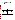column explains how many individual spectra are collected at that experimental condition. The "Integration Time" column is the integration time to be used for that measurement. "Path Length" is the total length the beam will travel between the source and the detector. This is not the length of the gas cell used in these experiments. The "Verification Parameter Calculated" column relates each measurement to the verification parameters that will eventually be calculated.

#### **5.2 Schedule**

The verification is conducted by performing measurements in the fixed sequence shown in Table 1. The monitor provided by the vendor undergoes that full test sequence. It is anticipated that the testing will take place over three days, with a day for setup and a day for teardown. The recommended schedule for testing a single monitor is shown in Table 2.

| Activity #                 | Day   | Gas   | <b>Approximate Time</b> |
|----------------------------|-------|-------|-------------------------|
| <b>Travel and Setup</b>    | One   |       | 1 day                   |
| $1 - 24$                   | Two   | One   | 08:00-13:00             |
| $25 - 36$                  | Two   | One   | 14:00-18:00             |
| $1 - 24$                   | Three | Two   | 08:00-12:00             |
| $25 - 36$                  | Three | Two   | 13:00-17:00             |
| $1 - 24$                   | Four  | Three | 08:00-12:00             |
| $25 - 36$                  | Four  | Three | 13:00-17:00             |
| <b>Teardown and Travel</b> | Five  |       | $1$ day                 |

**Table 2. Schedule of Verification Testing Activities**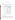#### **5.3 Fourier Transform Infrared**

#### **5.3.1 Gases**

Example gases and concentrations to be used for testing FTIR open-path monitors are shown in Table 3. Gases may vary depending upon the specific technology verified. The gases listed in Table 3 were selected because they cover a broad spectral range.

| Gas                 | <b>Concentration</b><br>Path Length (ppm-m) |    |
|---------------------|---------------------------------------------|----|
|                     | c1                                          | 5  |
| Tetrachloroethylene | c2                                          | 10 |
|                     | c3                                          | 25 |
|                     | c4                                          | 50 |
|                     | c1                                          | 5  |
| Cyclohexane         | c2                                          | 10 |
|                     | c3                                          | 25 |
|                     | c4                                          | 50 |
|                     | c1                                          | 5  |
| Ethylene            | c2                                          | 10 |
|                     | c3                                          | 25 |
|                     | c4                                          | 50 |

**Table 3. Target Gases for Verification Testing of FTIR Open-Path Monitors** 

#### **5.3.2 Minimum Detection Limit**

The MDL shall be determined for each target gas. This number represents the lowest obtainable value for detecting that specific gas. The MDL is calculated by removing the target gas from the optical path of the monitor, then a series of 26 single-beam spectra are taken using the appropriate averaging time (either 1 min. or 5 min.). The single-beam spectra are then used to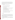create absorption spectra, using each single beam spectrum as the background for the next spectrum. The absorption spectra are created by using the first and second single-beam spectra, the second and third, the third and fourth, etc. The resulting 25 absorption spectra are then analyzed for the target gas. The MDL is defined as two times the standard deviation of the calculated concentrations.

A summary procedure for determining MDL is as follows:

- 1. Remove the target gas from the optical path of the monitor
- 2. Choose an appropriate averaging time for the monitor
- 3. Acquire 26 single-beam spectra
- 4. Use the first single-beam spectrum as a background to create an absorption spectrum from the second single-beam spectrum
- 5. Use the second single-beam spectrum as a background to create an absorption spectrum from the third single-beam spectrum
- 6. Continue until 25 absorbance spectra are obtained
- 7. Analyze each absorption spectrum to determine the concentration of the target gas
- 8. Calculate the standard deviation of the set of concentrations
- 9. Multiply the standard deviation by two to obtain the MDL.

#### **5.3.3 Linearity**

Two types of linearity shall be evaluated. The first is the linearity of the monitor for a specific gas over a range of concentrations. The second is the linearity of the monitor as a series of ND filters are inserted into the beam path. This second evaluation of linearity is designed to simulate a reduction in source intensity and to measure the effect this intensity reduction has on the monitor's ability to maintain linear response.

Determining the concentration linearity of the monitor requires challenging the monitor with a target gas at several concentration levels. At each of these concentrations, a single-beam spectrum is acquired.

US EPA ARCHIVE DOCUMENT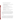The procedure for determining concentration linearity is as follows:

- 1. Place the target gas cell in the optical path of the monitor
- 2. Set up a dilution system to provide the target gas to the gas cell by diluting a certified gas standard for each gas of interest
- 3. Perform dilutions with high-purity nitrogen
- 4. Provide diluent gas or a prepared dilution of the target gas to the gas cell
- 5. Choose an appropriate averaging time for the monitor
- 6. After at least five cell volumes of the gas have passed through the cell, acquire a single-beam spectrum
- 7. Record the concentration value given by the monitor
- 8. Flush the cell with at least five volumes of high-purity nitrogen and again acquire a single-beam spectrum
- 9. Repeat steps 4 through 6 with the next concentration of the target gas.

The source strength linearity is evaluated at two concentrations for each gas using three ND filters placed in the beam path. These three ND filters are used to determine the monitor's ability to maintain a linear response with an attenuated source. These filters attenuate the source strength by approximately 10%, 25%, and 50%. The procedure for this evaluation is identical to steps 1 through 7 above, except that one of the ND filters is placed in the optical path.

#### **5.3.4 Accuracy**

Accuracy of the monitors relative to the gas standards shall verified by introducing known concentrations of the target gas into the cell. The gas cell is flushed with at least five cell volumes of nitrogen, and a single-beam spectrum is recorded. The target gas is then introduced into the cell and, after flushing with at least five cell volumes, a single-beam spectrum of the target gas is obtained. The cell is flushed with at least five cell volumes of nitrogen, and a third spectrum is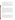recorded. The three spectra are analyzed for the target gas using the background selected by the vendor. The concentration of the target gas is the result of analyzing the second spectrum minus the average of the first and third (flushed cell) spectra.

The accuracy is evaluated at concentrations c1 through c4 using an integration time of 1 min. The accuracy is then evaluated at concentration c2 using a longer integration time, and then again at a concentration of c2 during the interference measurements (Activity #26 through #34 in Table 1). The percent accuracy is the average value of all the measurements at the same conditions, divided by the concentration of the gas in the reference cell, times 100.

#### **5.3.5 Precision**

The precision of the monitor is a quantification of its ability to make repeatable measurements when challenged with the same gas sample. The procedure for determining precision is essentially identical to the procedure for determining accuracy. The gas cell is flushed with at least five volumes of nitrogen. The target gas is then introduced into the cell and, after flushing with at least five cell volumes, 25 single-beam spectra of the target gas are obtained. These spectra are analyzed for the target gas. The relative standard deviation of this set of measurements is the precision at the target gas concentration. Precision is evaluated by this procedure at two different concentrations of each of the target gases (see Table 1). Additional precision information shall be obtained from the replicate analysis conducted in the interferences test (Section 5.3.6).

### **5.3.6 Interferences**

The effects of interfering gases shall be established by supplying the reference cell with a target gas and varying the distance between the source and detector of the monitor. The main interferences in ambient air are  $H_2O$  and  $CO_2$ , and, if the measurements are made outdoors, changing the path length will effectively change the amount of interferents in the measurement. The purpose of the interference measurements (Activity #26 through #34 in Table 1) is to determine the effects that the interfering gases have on accuracy, precision, and MDL. These

17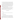tests are performed using two different integration times to determine the effect that integration time has on the monitor's ability to make measurements with interfering gases in the light path.

The effect of the interferences shall be measured by setting up the monitor outdoors or in an area where the light path passes through ambient air levels of  $H<sub>2</sub>O$  and  $CO<sub>2</sub>$  that are consistent with those outdoors, as measured by a relative humidity monitor and a  $CO<sub>2</sub>$  monitor (for example, in an airplane hangar). First, the path length is changed to approximately 400 meters. Then, the reference cell is supplied with nitrogen; and, after flushing with at least five cell volumes, five single-beam spectra will be recorded. Next, the target gas is introduced into the cell, and, after similarly flushing the cell, five single-beam spectra are recorded. Finally, nitrogen is again introduced into the cell and five spectra are recorded.

Then the path length is set to the length that the vendor chooses as optimum (i.e., the path length that would theoretically yield the best signal-to-noise ratio). The entire measurement procedure is repeated. Atmospheric concentrations of  $H_2O$  and  $CO_2$  are recorded at the beginning and the end of these measurements. The extent of interference is calculated in terms of sensitivity of the monitor to the interferent. The relative sensitivity is reported.

#### **5.4 Tuneable Diode Laser**

#### **5.4.1 Gases**

Example gases and concentrations to be used for testing TDL open-path monitors are shown in Table 4.

#### **5.4.2 Minimum Detection Limit**

The MDL shall be determined for each target gas. This number represents the lowest obtainable value for detecting that specific gas. The MDL is calculated by removing the target gas from the optical path of the monitor, then a series of 25 measurements are taken using the appropriate averaging time (either 1 min. or 5 min.). The resulting values are then analyzed for the target gas. Two times the standard deviation of the calculated concentrations is defined as the MDL.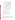|                 | Gas | Concentration<br>Path Length (ppm-m) |
|-----------------|-----|--------------------------------------|
|                 | c1  | 5                                    |
| NH <sub>3</sub> | c2  | 25                                   |
|                 | c3  | 50                                   |
|                 | c4  | 100                                  |
|                 | c1  | 25                                   |
| HF              | c2  | 50                                   |
|                 | c3  | 100                                  |
|                 | c4  | 500                                  |
|                 | c1  | 5                                    |
| Methane         | c2  | 25                                   |
|                 | c3  | 50                                   |
|                 | c4  | 100                                  |

**Table 4. Gases for Verification Testing of TDL Open-Path Monitors** 

The procedure for determining the MDL is as follows:

- 1. Remove the target gas from the optical path of the monitor
- 2. Choose an appropriate averaging time for the monitor
- 3. Acquire 25 measurements
- 4. Analyze each absorption spectrum for the target gas
- 5. Calculate the standard deviation of the set of concentrations
- 6. Multiply the standard deviation by two to obtain the MDL.

#### **5.4.3 Linearity**

Two types of linearity shall be evaluated. The first is the linearity of the monitor for a specific gas over a range of concentrations. The second is the linearity of the monitor as a series of ND filters are inserted into the beam path. This second evaluation of linearity is designed to simulate a reduction in source intensity and to measure the effect this intensity reduction has on the monitor's ability to maintain linear response.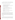Determining the concentration linearity of the monitor requires challenging the monitor with a target gas at several concentration levels. At each of these concentrations, a measurement is made.

The procedure for determining concentration linearity is as follows:

- 1. Place the target gas cell in the optical path of the monitor
- 2. Set up a dilution system to provide the calibration gas to the gas cell by dilution of a certified gas standard for each gas of interest
- 3. Perform dilutions with high-purity nitrogen
- 4. Provide a target gas or a prepared dilution of the target gas to the gas cell
- 5. Choose an appropriate averaging time for the monitor
- 6. After at least five cell volumes of the gas have passed through the cell, make measurements
- 7. Record the concentration value given by the monitor
- 8. Flush the cell with at least five volumes of high-purity nitrogen and again make measurements
- 9. Repeat steps 4 through 6 with the next concentration.

The source strength linearity is evaluated at two concentrations for each gas using three ND filters placed in the beam path. These three ND filters are used to determine the monitor's ability to maintain a linear response with an attenuated source. These filters will attenuate the source strength by approximately 10%, 25%, and 50%. The procedure for this evaluation is identical to steps 1 through 7 above, except that one of the ND filters is placed in the optical path.

#### **5.4.4 Accuracy**

Accuracy of the monitors relative to the gas standards shall be verified by introducing the target gas into the cell. The gas cell is flushed with at least five cell volumes of nitrogen, and a measurement is recorded. The target gas is then introduced into the cell; and, after flushing with

US EPA ARCHIVE DOCUMENT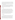at least five cell volumes, a measurement of the target gas is obtained. The cell is flushed with at least five cell volumes of nitrogen, and a third measurement is recorded. The three measurements are analyzed for the target gas using the background selected by the vendor. The concentration of the target gas is the result of analyzing the second measurement, minus the average of the first and third (flushed cell) measurements.

The accuracy is evaluated at concentrations c1 through c4, using an integration time of 1 min. The accuracy is then evaluated at concentration c2 using a longer integration time and then again at a concentration of c2 during the interference measurements (Activities #26 through #34). The percent accuracy is the average value of all the measurements at the same conditions, divided by the concentration of the gas in the reference cell, times 100.

#### **5.4.5 Precision**

The precision of the monitor is a quantification of its ability to make repeatable. measurements when challenged with the same gas sample. The procedure for determinating precision is essentially identical to the procedure for determinating accuracy. The gas cell is flushed with at least five volumes of nitrogen. The target gas is then introduced into the cell; and, after flushing with at least five cell volumes, 25 measurements of the target gas are obtained. The relative standard deviation of this set of concentrations is the precision at the target gas concentration. Precision is evaluated by this procedure at two different concentrations of each of the target gases (see Table 1). Additional precision information will be obtained from the replicate analysis conducted in the interference measurements (Section 5.4.6)

#### **5.4.6 Interferences**

The effects of interfering gases shall be established by supplying the reference cell with a target gas and varying the distance between the source and detector of the monitor. The main interferences in ambient air are  $H_2O$  and  $CO_2$ ; and, if the measurements are made outdoors, changing the path length will effectively change the amount of interferents in the measurement. The purpose of the interference measurements (Activities #26 through #34 in Table 1) is to determine the effects that the interfering gases have on accuracy, precision, and MDL. These

21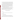tests are performed using two different integration times to determine the effect that integration time has on the monitor's ability to make measurements with interfering gases in the light path.

The effect of the interferences shall be measured by setting up the monitor outdoors or in an area where the light path passes through ambient air levels of  $H<sub>2</sub>O$  and  $CO<sub>2</sub>$  that are consistent with those outdoors, as measured by the relative humidity monitor and the  $CO<sub>2</sub>$  monitor (for example, in an airplane hangar). First, the path length is changed to approximately 400 meters. Then, the reference cell is supplied with nitrogen; and, after flushing with at least five cell volumes, five single-beam spectra are recorded. Next, the target gas is introduced into the cell; and, after similarly flushing the cell, five single-beam spectra are recorded. Finally, nitrogen is again introduced into the cell, and five spectra are recorded.

Then the path length is set to the length that the vendor chooses as optimum (i.e., the path length that would theoretically yield the best signal-to-noise ratio). The entire measurement procedure is repeated. Atmospheric concentrations of  $H_2O$  and  $CO_2$  are recorded at the beginning and the end of these measurements. The extent of interference is calculated in terms of sensitivity of the monitor to the interferent. The relative sensitivity is reported.

#### **5.5 Ultraviolet Open-Path Monitors**

#### **5.5.1 Gases**

Example gases and concentrations to be used for testing UV open-path monitors are shown in Table 5.

#### **5.5.2 Minimum Detection Limit**

The MDL shall be determined for each target. This number represents the lowest obtainable value for the detection of that specific gas. The MDL is calculated by removing the target gas from the optical path of the monitor, then a series of 25 measurements are taken using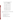|                 | Gas | Concentration<br>Path Length (ppm-m) |
|-----------------|-----|--------------------------------------|
|                 | c1  | 3                                    |
| NH <sub>3</sub> | c2  | 6                                    |
|                 | c3  | 10                                   |
|                 | c4  | 20                                   |
|                 | c1  | $\overline{2}$                       |
| NO              | c2  | 5                                    |
|                 | c3  | 10                                   |
|                 | c4  | 15                                   |
|                 | c1  | $\sqrt{2}$                           |
| Benzene         | c2  | 3                                    |
|                 | c3  | 5                                    |
|                 | c4  | 10                                   |

**Table 5. Gases for Verification Testing of UV Open-Path Monitors** 

the appropriate averaging time (either 1 min. or 5 min.). The resulting values are then analyzed for the target gas. Two times the standard deviation of the calculated concentrations is defined as the MDL.

The procedure for determining MDL is as follows:

- 1. Remove the target gas from the optical path of the monitor
- 2. Choose an appropriate averaging time for the monitor
- 3. Acquire 25 measurements
- 4. Analyze each measurement for the target gas
- 5. Calculate the standard deviation of the set of measurements
- 6. Multiply the standard deviation by two to obtain the MDL.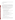Additional MDL information will be obtained from the replicate analysis conducted in the interference measurement (Section 5.5.6).

#### **5.5.3 Linearity**

Two types of linearity shall be evaluated. The first is the linearity of the monitor for a specific gas over a range of concentrations. The second is the linearity of the monitor as a series of ND filters are inserted into the beam path. This second evaluation of linearity is designed to simulate a reduction in source intensity and to measure the effect this intensity reduction has on the monitor's ability to maintain linear response.

Determining concentration linearity requires challenging the monitor with a target gas at several concentration levels. At each of these concentrations, a measurement is made.

The procedure for determining concentration linearity is as follows:

- 1. Place the gas cell in the optical path of the monitor
- 2. Set up the dilution system to provide the calibration gas to the gas cell by diluting a certified gas standard for each gas of interest
- 3. Perform dilutions with high-purity nitrogen
- 4. Provide target gas or a prepared dilution of the target gas to the gas cell
- 5. Choose an appropriate averaging time for the monitor
- 6. After five cell volumes of the gas have passed through the cell, make a measurement
- 7. Record the concentration value given by the monitor
- 8. Flush the cell with five volumes of high-purity nitrogen and again make a measurement
- 9. Repeat with the next concentration
- 10. Repeat steps 4 through 6 with the next concentration.

The source intensity linearity is evaluated at two concentrations for each gas using three ND filters placed in the beam path. These three ND filters are used to determine the monitor's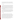ability to maintain a linear response with an attenuated source. These filters will attenuate the source strength by approximately 10%, 25%, and 50%. The procedure for this evaluation is identical to steps 1 through 7 above, except that one of the ND filters is placed in the optical path.

#### **5.5.4 Accuracy**

Accuracy of the monitors relative to the gas standards shall be verified by introducing the target gas into the cell. The gas cell is flushed with at least five cell volumes of nitrogen and a measurement is recorded. The target gas is then introduced into the cell; and, after flushing with at least five cell volumes, a target gas is measured. The cell is flushed with at least five cell volumes of nitrogen, and a third measurement is recorded. The three measurements are analyzed for the target gas using the background selected by the vendor. The concentration of the target gas is the result of analyzing the second measurement, minus the average of the first and third (flushed cell) measurements.

The accuracy is evaluated at concentrations c1 through c4, using an integration time of 1 min. The accuracy is then evaluated at concentration c2, using a longer integration time, and then again at a concentration of c2 during the interference measurements (Activities #26 through #34 in Table 1). The percent accuracy is the average value of all the measurements at the same conditions, divided by the concentration of the gas in the reference cell, times 100.

#### **5.5.5 Precision**

The precision of the monitor is a quantification of its ability to make repeatable measurements when challenged with the same gas sample. The procedure for determining precision is essentially identical to the procedure for determining accuracy. The gas cell is flushed with at least five volumes of nitrogen. The target gas is then introduced into the cell; and, after flushing with at least five cell volumes, 25 measurements of the target gas are obtained. The relative standard deviation of this set of concentrations is the precision at the target gas concentration. Precision is evaluated by this procedure at two different concentrations of each of the target gases (see Table 1). Additional precision information shall be obtained from the replicate analysis conducted in the interference measurements (Section 5.5.6)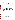#### **5.5.6 Interferences**

The effects of interfering gases shall be established by supplying the reference cell with a target gas and varying the distance between the source and detector (path length) of the monitor. The main interferences in ambient air are  $O_2$  and  $O_3$ ; and, if the measurements are made outdoors, changing the path length will effectively change the amount of interferents in the measurement. The purpose of the interference measurements (Activities #26 through #34 in Table 1) is to determine the effects that the interfering gases have on the accuracy, precision, and MDL. These tests are performed using two different integration times to determine the effect that integration time has on the monitor's ability to make measurements with interfering gases in the light path.

The effect of the interferences is measured by setting up the monitor outdoors or in an area where the ambient levels of  $O_2$  and  $O_3$  are consistent with those outdoors, as measured by the  $O_2$  and  $O_3$  monitors. First, the path length is changed to approximately 400 meters. Then, the reference cell is supplied with nitrogen; and, after flushing with at least five cell volumes, five measurements are recorded. Next, the target gas is introduced into the cell; and, after similarly flushing the cell, five measurements are recorded. Finally, the cell is flushed again, and five more spectra are recorded. Atmospheric concentrations of  $O_2$  and  $O_3$  are recorded at the beginning and the end of these measurements.

Then the path length is set to the length that the vendor chooses as optimum (i.e., the path length that would theoretically yield the best signal-to-noise ratio). The entire measurement procedure is repeated. The extent of interference is calculated in terms of sensitivity of the monitor to the interferent. The relative sensitivity is reported.

## **6 SITE DESCRIPTION**

Under this generic protocol, the verification of each monitor should occur at Battelle's Columbus facilities or at a location near the vendor's establishment. If the test is to be performed at the vendor's location, the specific test site shall be identified by the vendor and reviewed with Battelle prior to Battelle staff traveling to the vendor's location to initiate the test.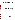At either location, the test site shall be outside in an open field or parcel of land where a line of sight is available that meets the maximum path length required (400 meters). The site needs to be away from local sources of emissions and yet easily accessible and able to be reached conveniently throughout the test period. If the test site has limited access, the host (either Battelle or the vendor) shall make appropriate arrangements to ensure that all non-host staff have access. Sufficient lighting shall be available in the event that the test runs into the evening, and there shall be access to appropriate electrical power.

#### **7 MATERIALS AND EQUIPMENT**

#### **7.1 Standard Gases**

The standard gases diluted to produce target gas levels for the verification testing shall be NIST-traceable gases when possible. Alternatively, commercially certified gas shall be used if NIST-traceable gases are not available for a particular analyte. The gases shall be obtained in concentrations appropriate for dilution to the concentrations required for the tests.

#### **7.2 Dilution Gas**

The dilution gas for the verification testing shall be high-purity nitrogen and shall be supplied by Battelle. The dilution gas should have the following specifications: Acid Rain CEM Zero Nitrogen or equivalent (i.e., having the following purity specifications: total hydrocarbons,  $SO_2$  and  $NO_x < 0.1$  ppm,  $CO$  and  $O_2$ ,  $< 0.5$  ppm,  $CO_2 < 1$  ppm, and water  $< 5$  ppm).

#### **7.3 Dilution System**

The dilution system used for preparing the target gases shall have mass flow capabilities with an accuracy of approximately  $\pm 1\%$ . The dilution system shall be capable of accepting a flow of compressed gas standard and diluting it with high-purity nitrogen or air. It shall be able to perform dilution ratios from 1:1 to at least 100:1. The dilution system may be commercially available or assembled from separate commercial components.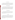The temperature sensor used to monitor the ambient air and test cell temperatures shall be a thermocouple with a commercial digital temperature readout. This sensor shall be operated in accordance with the manufacturer's instructions and must have been calibrated against a certified temperature measurement standard within the six months preceding the verification test.

#### **7.5 Relative Humidity Sensor**

The relative humidity (RH) sensor used to determine the humidity of ambient air shall be a commercial RH/dew point monitor that uses the chilled mirror principle. This sensor shall be operated in accordance with the manufacturer's instructions, which call for cleaning the mirror and rebalancing the optical path when necessary, as indicated by the diagnostic display of the monitor. The manufacturer's accuracy specification for this monitor must be approximately  $\pm 5\%$  RH.

#### **7.6 Carbon Dioxide Sensor**

A commercial non-dispersive infrared (NDIR) instrument shall be used to monitor the level of CO<sub>2</sub> in ambient air during interference measurements. This sensor shall be operated in accordance with the manufacturer's instructions and shall be calibrated with a commercially prepared cylinder standard of  $CO<sub>2</sub>$  in air.

#### **7.7 Ozone Sensor**

The sensor used to determine ozone in ambient air shall be a commercial UV absorption monitor designated by the U.S. EPA as an equivalent method for this measurement. The UV absorption method is preferred for this application over the reference method (which is based on ethylene chemiluminescence) because the UV method is inherently calibrated and requires no reagent gases or calibration standards. This sensor shall be operated in accordance with the manufacturer's instructions.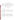#### **7.8 Monitor for NO and NH3**

The concentrations of NO and  $NH<sub>3</sub>$  prepared by the dilution system during testing shall be checked using a commercial EPA reference chemiluminescent  $NO/NO<sub>x</sub>$  monitor, equipped with a high-temperature converter for oxidizing  $NH<sub>3</sub>$  to NO for detection. The monitor and converter shall be operated according to the manufacturer's instructions, and the conversion efficiency of the  $NH<sub>3</sub>$  converter shall be determined in the laboratory before each use in verification testing.

# **8 QUALITY ASSURANCE/QUALITY CONTROL**

#### **8.1 Calibration**

#### **8.1.1 Gas Dilution System**

The gas dilution system shall be the responsibility of Battelle. Flow controllers in this system shall be calibrated prior to the start of the verification test for each monitor by means of a soap bubble flow meter. Corrections shall be applied to the bubble meter data for temperature and water content.

#### **8.1.2 Temperature Sensor**

The thermocouple calibration shall be based upon its comparison to a certified standard within the six months preceding the test. The accuracy of the thermocouple also shall be checked at least once during verification testing by comparison to a standard mercury-in-glass type thermometer. Agreement within  $3^{\circ}C$  is required or the thermocouple shall be replaced. That comparison shall be conducted as part of the performance evaluation audit described in Section 8.2.2.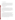#### **8.1.3 Relative Humidity Sensor**

The RH sensor shall be operated according to the manufacturer's directions and shall employ the manufacturer's calibration. The accuracy of the monitor for RH also shall be checked at least once during verification testing for each monitor by comparison to a standard wet/dry bulb measurement. Accuracy within  $\pm 5\%$  RH is required, or the calibration of the monitor will be adjusted. That comparison shall be conducted as part of the performance evaluation audits described in Section 8.2.2.

#### **8.1.4 Carbon Dioxide Sensor**

The NDIR  $CO<sub>2</sub>$  monitor shall be calibrated before testing each vendor's open-path monitor, using a commercially prepared certified standard of  $CO<sub>2</sub>$  in air. Also, at least once during the verification test for each open-path monitor, the  $CO<sub>2</sub>$  monitor shall be challenged with an equally certified independent calibration standard obtained from another supplier. Agreement must be within  $\pm 10\%$ , or the monitor shall be recalibrated. That comparison shall be conducted as part of the performance evaluation audits described in Section 8.2.2.

#### **8.1.5 Ozone Sensor**

The UV absorption method of ozone measurement is inherently calibrated, relying as it does on the accurately determined absorption coefficient of ozone. As a result, routine calibration of the ozone monitor is not needed. However, the monitor shall be operated according to the manufacturer's directions, with careful attention to the diagnostic indicators that assure proper operation of the monitor. In addition, at least once during the verification test of each open-path monitor, the ozone monitor shall be checked in a side-by-side comparison with a different ozone monitor while sampling ambient air. Agreement within 5 parts per billion volume or 10% of reading, whichever is greater, is required. Failure to meet this specification shall result in investigation of the diagnostics of both monitors.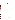#### 8.1.6 Monitor for NO and NH<sub>3</sub>

The NO monitor shall be calibrated using a commercial standard of NO in nitrogen, the concentration of which has been established by direct comparison to a standard reference material of NO in nitrogen, obtained from the NIST. A multipoint calibration is performed before any verification testing takes place, and a single-point span check is performed before testing each vendor's open-path monitor. If that single-point check differs from the original multipoint result by more than 5%, then a new multipoint calibration is performed. In addition, at least once during the verification testing of each open-path monitor, using NO or  $NH_3$  as a target gas, the NO calibration is checked by measuring an independent NO calibration standard obtained from an independent supplier. That comparison is conducted as part of the performance evaluation audits in Section 8.2.2.

The conversion efficiency of the  $NH<sub>3</sub>$  converter is established before testing each openpath monitor for which  $NH<sub>3</sub>$  is a target compound. The efficiency test consists of operating the NO monitor with the NH<sub>3</sub> converter, while supplying a known NH<sub>3</sub> concentration. All NH<sub>3</sub> measurements are corrected for the conversion efficiency determined in this way.

#### **8.2 Audits**

#### **8.2.1 Technical Systems Audits**

Battelle's Quality Manager shall perform a TSA at least once during the verification test. The purpose of this TSA is to ensure that the verification test is being performed in accordance with the AMS Center  $OMP^{(1)}$  and this protocol and to ensure that all  $OA/quality$  control procedures are being implemented. During this audit, the Battelle Quality Manager reviews the calibration sources and methods used, compares actual test procedures to those specified in this protocol, and reviews data acquisition and handling procedures. The Quality Manager also reviews instrument calibration records and gas certificates of analysis.

At EPA's discretion, EPA QA staff may also conduct an independent on-site TSA during the verification test. The TSA findings will be communicated to testing staff at the time of the audit and documented in a TSA report.

US EPA ARCHIVE DOCUMENT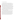#### **8.2.2 Performance Evaluation Audits**

Performance evaluation audits shall be conducted to assess the quality of the measurements made in the verification test. These audits address only those measurements made by Battelle in conducting the verification test, i.e., the monitors being verified and the vendors operating these analyzers are not the subject of the performance evaluation audits. These audits are performed by comparing Battelle measurements with a standard or a reference that is independent of the standards used during the testing. These audits are performed once during the verification test of each monitor. The audit procedures, which are listed in Table 6, are performed by the technical staff responsible for the measurements being audited. Battelle's Quality Manager shall be present during at least one of the performance evaluation audits to assess the results.

The measurements (physical or chemical) shall undergo the performance evaluation audit by comparison to independent measurements or standards, as indicated in Sections 8.1.2 through 8.1.6 and summarized in Table 6. If during the performance evaluation audit, the measurement being audited does not meet the specified performance criteria, the verification test shall be stopped until the cause of the failed audit is determined.

Table 6 indicates that performance auditing of the prepared hydrogen fluoride (HF) and organic gas concentrations shall be conducted by independent analysis of the test gas mixture supplied to the optical cell during verification testing. For the target organic compounds (i.e., methane, benzene, ethylene, cyclohexane, and tetrachloroethylene), this procedure involves collecting a sample of the test gas mixture exiting the cell using a pre-cleaned and evacuated Summa-polished sampling canister. This gas sample is returned to Battelle and analyzed using EPA Method  $18^{(5)}$  or an equivalent method for the target hydrocarbons (methane, benzene, ethylene, and cyclohexane) using gas chromatography with flame ionization detection.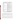| <b>Measurement to be Audited</b>          | <b>Audit Procedure</b>                                                                                  |  |  |  |  |  |
|-------------------------------------------|---------------------------------------------------------------------------------------------------------|--|--|--|--|--|
| Ammonia                                   | Compare with independent NO<br>standard.                                                                |  |  |  |  |  |
| Temperature                               | Compare with independent<br>temperature measurement (Hg<br>thermometer)                                 |  |  |  |  |  |
| Relative humidity                         | Compare with independent RH<br>measurement (wet/dry bulb device)                                        |  |  |  |  |  |
| Carbon dioxide                            | Compare with independent carbon<br>dioxide standard                                                     |  |  |  |  |  |
| Ozone                                     | Compare with independent ozone<br>measurement (different analyzer)                                      |  |  |  |  |  |
| NO                                        | Compare with independent NO<br>standard                                                                 |  |  |  |  |  |
| Organic gases (e.g., benzene,<br>methane) | Compare with results of gas<br>chromatographic analysis of canister<br>sample                           |  |  |  |  |  |
| Hydrogen fluoride                         | Compare with results of ion selective<br>electrode or ion chromatography<br>analysis of impinger sample |  |  |  |  |  |

Table 6. Summary of Performance Evaluation Audit Procedures<sup>a</sup>

<sup>a</sup> Each audit procedure will be performed at least once during the verification test.

For HF, the performance audit involves passing a known volume of the gas mixture exiting the optical cell through an impinger containing deionized water. The collected HF solution is then analyzed at Battelle by either of two techniques: an ion selective electrode, as is the basis for EPA Method  $13B^{(6)}$ , or ion chromatography for fluoride ion. In either case, calibration is based on fluoride solution standards prepared gravimetrically from high-purity water and reagents.

For both the organic compounds and HF, the analytical results of the performance audit samples shall indicate concentrations in the optical cell within 10% of the expected concentrations. If not, the target gas source and dilution system shall be assembled at Battelle, and additional samples shall be collected and analyzed to re-establish the output of the gas source and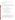dilution system. The same optical cell used in the verification test shall be obtained from the technology vendor for use in this effort.

#### **8.2.3 Audits of Data Quality**

Battelle's Quality Manager shall audit at least 10% of the verification data acquired in the verification test. The Quality Manager traces the data from initial acquisition, through reduction and statistical comparisons, to final reporting. All calculations performed on the data undergoing audit are checked.

#### **8.3 Assessment Reports**

Each assessment and audit will be documented in accordance with Section 2.9.7 of the QMP for the AMS Center.(1) Assessment reports include the following:

- Identification of any adverse findings or potential problems
- Response to adverse findings or potential problems
- Possible recommendations for resolving problems
- Citation of any noteworthy practices that may be of use to others
- Confirmation that solutions have been implemented and are effective.

#### **8.4 Corrective Action**

The Battelle Quality Manager, during the course of any assessment or audit, shall identify to the technical staff performing experimental activities any immediate corrective action that should be taken. If serious quality problems exist, the Battelle Quality Manager is authorized to stop work. Once the assessment report has been prepared, the Verification Test Coordinator ensures that a response is provided for each adverse finding or potential problem and implements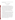any necessary follow-up corrective action. The Battelle Quality Manager shall ensure that followup corrective action has been taken.

# **9. DATA ANALYSIS AND REPORTING**

#### **9.1 Data Acquisition**

Data acquisition in this verification test includes recording response data from the monitors undergoing testing, operational data such as ambient RH and temperatures, times of test activities, etc. Data acquisition for the commercial monitors undergoing verification is primarily performed by the vendors themselves during the test. Each monitor shall have some form of data acquisition device, such as a digital display whose readings can be recorded manually, a printout of the monitor's response, or an electronic data recorder that stores individual monitor results. Throughout the test, the vendor is responsible for reporting the response of the monitor to the sample gases provided. Forms for this purpose are provided as needed by Battelle.

Other data are recorded in laboratory record books maintained by each Battelle staff member involved in the testing. These records are reviewed on a daily basis to identify and resolve any inconsistencies.

In all cases, strict confidentiality of data from each vendor's monitor, and strict separation of data from different monitors, is maintained. Separate files (including manual records, printouts, and/or electronic data files) are kept for each monitor. At no time during verification testing will Battelle staff engage in any comparison or discussion of test data or of different monitors.

Table 7 summarizes the types of data to be recorded; where, how often, and by whom the data shall be recorded; and the disposition or subsequent processing of the data. The general approach is to record all test information immediately and in a consistent format throughout all tests. Data recorded by the vendors are to be turned over to Battelle staff immediately upon completion of the test procedure. Test records shall then be converted to Excel spreadsheet files by a designated Battelle staff member. Identical file formats are used for the data from all analyzers tested to assure uniformity of data treatment. This process of data recording and compiling is overseen by the Verification Test Coordinator.

35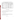| Data to be Recorded                | <b>Recorded</b><br>By | Where<br><b>Recorded</b>          | <b>When Recorded</b>                                         | <b>Disposition of Data</b>                                                   |  |  |
|------------------------------------|-----------------------|-----------------------------------|--------------------------------------------------------------|------------------------------------------------------------------------------|--|--|
| Dates, Times, Test<br>Events       | <b>Battelle</b>       | Data<br>Sheet <sup>a</sup>        | Start of each test,<br>whenever testing<br>conditions change | Used to compile result,<br>manually entered into<br>spreadsheet as necessary |  |  |
| Test Parameters (temp.,            | <b>Battelle</b>       | Data                              | Every hour during                                            | Transferred to                                                               |  |  |
| RH, etc)                           |                       | Sheet <sup>a</sup>                | testing                                                      | spreadsheet                                                                  |  |  |
| Interference Gas<br>Concentrations | <b>Battelle</b>       | Data<br><b>Sheet</b> <sup>a</sup> | Before and after each<br>measurement of<br>target gas        | Transferred to<br>spreadsheet                                                |  |  |
| <b>Target Gas</b>                  | <b>Battelle</b>       | Data                              | At specified time                                            | Transferred to                                                               |  |  |
| Concentrations                     |                       | Sheet <sup>a</sup>                | during each test                                             | spreadsheet                                                                  |  |  |
| Optical Open-Path                  | Vendor                | Data                              | At specified time                                            | Transferred to                                                               |  |  |
| <b>Monitor Readings</b>            |                       | Sheet <sup>a</sup>                | during each test                                             | spreadsheet                                                                  |  |  |

**Table 7. Summary of Data Recording Process for the Verification Tests** 

<sup>a</sup> Sample data sheet provided in Appendix A.

#### **9.2 Statistical Calculations**

Performance characterization is based on statistical comparisons of continuous open-path monitor results to the known concentrations of the target gases. The following statistical procedures shall be used to make those comparisons.

#### **9.2.1 Minimum Detection Limit**

The MDL is defined as the smallest concentration at which the monitor's expected response exceeds the calibration curve at the background reading by two times the standard deviation  $(\sigma)$  of the monitor's background reading.

$$
MDL = +2 \sigma_o \tag{1}
$$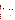#### **9.2.2 Linearity**

Both concentration and source strength linearity are assessed by linear regression with the certified gas concentration as independent variable and the monitor's response as dependent variable. Linearity is assessed in terms of the slope, intercept, and correlation coefficient of the linear regression.

$$
y = Mx + b \tag{2}
$$

where *y* is the response of the monitor to a reference gas, *x* is the concentration of the target gas in the optical cell, *M* is the slope of the linear regression curve, and *b* is the zero offset.

#### **9.2.3 Accuracy**

The relative accuracy (*A*) of the monitor with respect to the reference gas is assessed by

$$
A = \frac{\left|\overline{T} - \overline{R}\right|}{\overline{R}} \times 100\tag{3}
$$

where the bars indicate the mean of the reference  $(R)$  values and monitor  $(T)$  results. This parameter is determined at each concentration.

#### **9.2.4 Precision**

Precision is reported in terms of the percent relative standard deviation (RSD) of a group of similar measurements. For a set of measurements given by  $T_1$ ,  $T_2$ , ...,  $T_n$ , the standard deviation  $(\sigma)$  of these measurements is:

$$
\sigma = \left[ \frac{1}{n-1} \sum_{k=1}^{n} (T_k - \overline{T})^2 \right]^{1/2}
$$
 (4)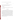where  $\overline{T}$  is the average of the monitor's readings. The RSD is calculated from

$$
RSD = \left| \frac{\sigma}{T} \right| \times 100 \tag{5}
$$

and is a measure of the measurement uncertainty relative to the absolute value of the measurement. This parameter is determined at each concentration.

#### **9.2.5 Interferences**

The extent of interference is calculated by comparing the relative accuracy of the target gas for each measurement.

## **9.3 Data Review**

Records generated by Battelle staff in the verification test shall receive one-over-one review within two weeks after generation before these records are used to calculate, evaluate, or report verification results. These records include laboratory record books, equipment calibration records, and data sheets used to record the monitor's response. This review is performed by a Battelle technical staff member involved in the verification test, but not the staff member that originally generated the record. The review is documented by the person performing the review by adding his/her initials and date to a hard copy of the record being reviewed. This hard copy then is returned to the Battelle staff member who generated or who will be storing the record.

In addition, data calculations performed by Battelle will be spot-checked by Battelle technical staff to ensure that calculations are performed correctly. Calculations to be checked include determination of each monitor's precision, accuracy, minimum detection limit, and other statistical calculations identified in Section 9.2.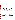#### **9.4 Reporting**

Statistical data calculations that result from each of the tests described above are conducted separately for each optical open-path monitor. Separate verification reports are prepared, each addressing the monitor provided by one commercial vendor. For each parameter evaluated in the verification test, the verification report presents the measurement data, as well as the results of the statistical evaluation of those data.

The verification report shall briefly describe the ETV program, the AMS Center, and the procedures used in the verification test; but will include specific requirements or departures from procedure necessitated in testing the individual monitor in question. These sections shall be common to each verification report resulting from the verification test. The results of the verification test shall then be stated quantitatively, without comparison to any other monitor tested or any comment on the acceptability of the monitor's performance. The preparation of draft verification reports, review of reports by vendors and others, revision of the reports, final approval, and distribution of the reports shall be conducted as stated in the "Generic Verification Protocol for the Advanced Monitoring Systems Pilot."<sup>(4)</sup> Preparation, approval, and use of verification statements summarizing the results of this test also are subject to the requirements of that same protocol.

#### **10. HEALTH AND SAFETY**

#### **10.1 General**

The health and safety officer of the test facility, whether Battelle's or a technology vendor's, shall review the necessary health and safety requirements and guidelines for the facility with Battelle and vendor staff before the verification test begins. Battelle staff involved in this verification test shaill operate under these established requirements and guidelines, as well as under appropriate procedures covered in the Battelle Safety Manual. Specifically, personal protective equipment, as defined in procedure SIH-PP-01, shall be used; and the chemical safety protocols set forth in SIH-PP-05 shall be followed. It is expected that while on Battelle's site, all vendor representatives shall operate according to the Battelle site requirements.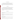#### **10.2 Potential Hazards**

Vendor staff shall only operate their open-path monitors during the verification test. They are not responsible for generating, nor will they be permitted to generate dilution gases or perform any other verification activities identified in this protocol. Operating the open-path monitors does not pose any known chemical, fire, mechanical, electrical, noise, or other potential hazard.

#### **10.3 Training**

Before installing and operating their monitors in Battelle laboratories, all vendor staff shall be given a safety briefing. This briefing shall include a description of emergency operating procedures (i.e., in case of fire, tornado, bomb, laboratory accident) and the identification, location, and operation of safety equipment (e.g., fire alarms, fire extinguishers, eye washes, exits). Similar instruction shall be provided by the vendor to all Battelle staff members traveling to the vendor's site.

#### **11 DEFINITIONS**

**Accuracy**—The degree of agreement between the response of the optical open-path monitor and actual gas concentration.

**Dilution System**—An instrument or apparatus equipped with mass flow controllers, capable of flow control to  $\pm 1\%$  accuracy and used to dilute the target gas to concentrations suitable for testing the monitors.

**Monitor**—System provided by the vendor, consisting of a radiation source and detector, used to measure atmospheric pollutants.

**Minimum Detection Limit**—The concentration at which the response of an optical open-path monitor equals two times the standard deviation of the noise level at the monitor background.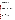**Linearity**—The linear proportional relationship expected between analyte concentration and monitor response over the full measuring range of the monitor.

**Precision—The degree of mutual agreement among successive readings of the same sample gas.** 

**Neutral Density Filter**—An optical filter that attenuates an incident beam of radiation without changing its spectral distribution; that is, it has a constant transmittance over a wide spectral range.

**Interference**—The response of a monitor to a constituent of the sample gas other than the target gas.

**Path Length**—The linear distance over which the radiation from the optical open-path monitor travels between the source and detector.

**Target Gas**—The gas measured by the monitor.

# **12 REFERENCES**

- 1. "Quality Management Plan for the ETV Advanced Monitoring Systems Center," U. S. EPA, Environmental Technology Verification Program, Battelle, Columbus, Ohio, December 2001.
- 2. "Environmental Technology Verification Program Quality and Management Plan for the Pilot Period (1995-2000)", U. S. Environmental Protection Agency, EPA-600/R-98/064, Cincinnati, Ohio, May 1998.
- 3. "Compendium Method TO-16 Long-Path Open-Path Fourier Transform Infrared Monitoring of Atmospheric Gases," EPA-625/R-96/010b, U.S. Environmental Protection Agency, Cincinnati, Ohio, January 1999.
- 4. "Generic Verification Protocol for the Advanced Monitoring Systems Pilot," U. S. EPA Environmental Technology Verification Program, prepared by Battelle, Columbus, Ohio, October 1998.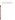- 5. "Method 18–Measurement of Gaseous Organic Compound Emissions by Gas Chromatography," U.S. EPA, Research Triangle Park, North Carolina, February 2000.
- 6. "Method 13B–Determination of Total Fluoride Emissions from Stationary Sources (Specific Ion Electrode Method)," U.S. EPA, Research Triangle Park, North Carolina, February 2000.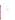**APPENDIX A** 

**EXAMPLE DATA SHEET**